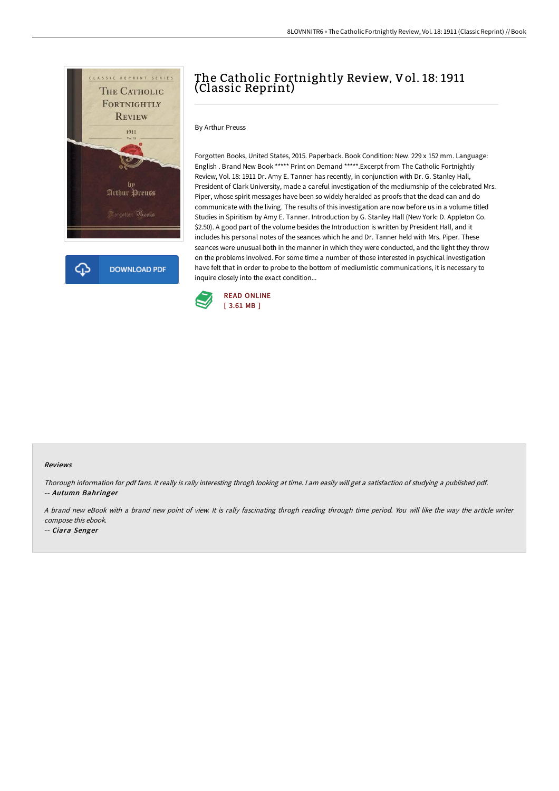

**DOWNLOAD PDF** 

## The Catholic Fortnightly Review, Vol. 18: 1911 (Classic Reprint)

By Arthur Preuss

Forgotten Books, United States, 2015. Paperback. Book Condition: New. 229 x 152 mm. Language: English . Brand New Book \*\*\*\*\* Print on Demand \*\*\*\*\*.Excerpt from The Catholic Fortnightly Review, Vol. 18: 1911 Dr. Amy E. Tanner has recently, in conjunction with Dr. G. Stanley Hall, President of Clark University, made a careful investigation of the mediumship of the celebrated Mrs. Piper, whose spirit messages have been so widely heralded as proofs that the dead can and do communicate with the living. The results of this investigation are now before us in a volume titled Studies in Spiritism by Amy E. Tanner. Introduction by G. Stanley Hall (New York: D. Appleton Co. \$2.50). A good part of the volume besides the Introduction is written by President Hall, and it includes his personal notes of the seances which he and Dr. Tanner held with Mrs. Piper. These seances were unusual both in the manner in which they were conducted, and the light they throw on the problems involved. For some time a number of those interested in psychical investigation have felt that in order to probe to the bottom of mediumistic communications, it is necessary to inquire closely into the exact condition...



## Reviews

Thorough information for pdf fans. It really is rally interesting throgh looking at time. <sup>I</sup> am easily will get <sup>a</sup> satisfaction of studying <sup>a</sup> published pdf. -- Autumn Bahringer

<sup>A</sup> brand new eBook with <sup>a</sup> brand new point of view. It is rally fascinating throgh reading through time period. You will like the way the article writer compose this ebook.

-- Ciara Senger